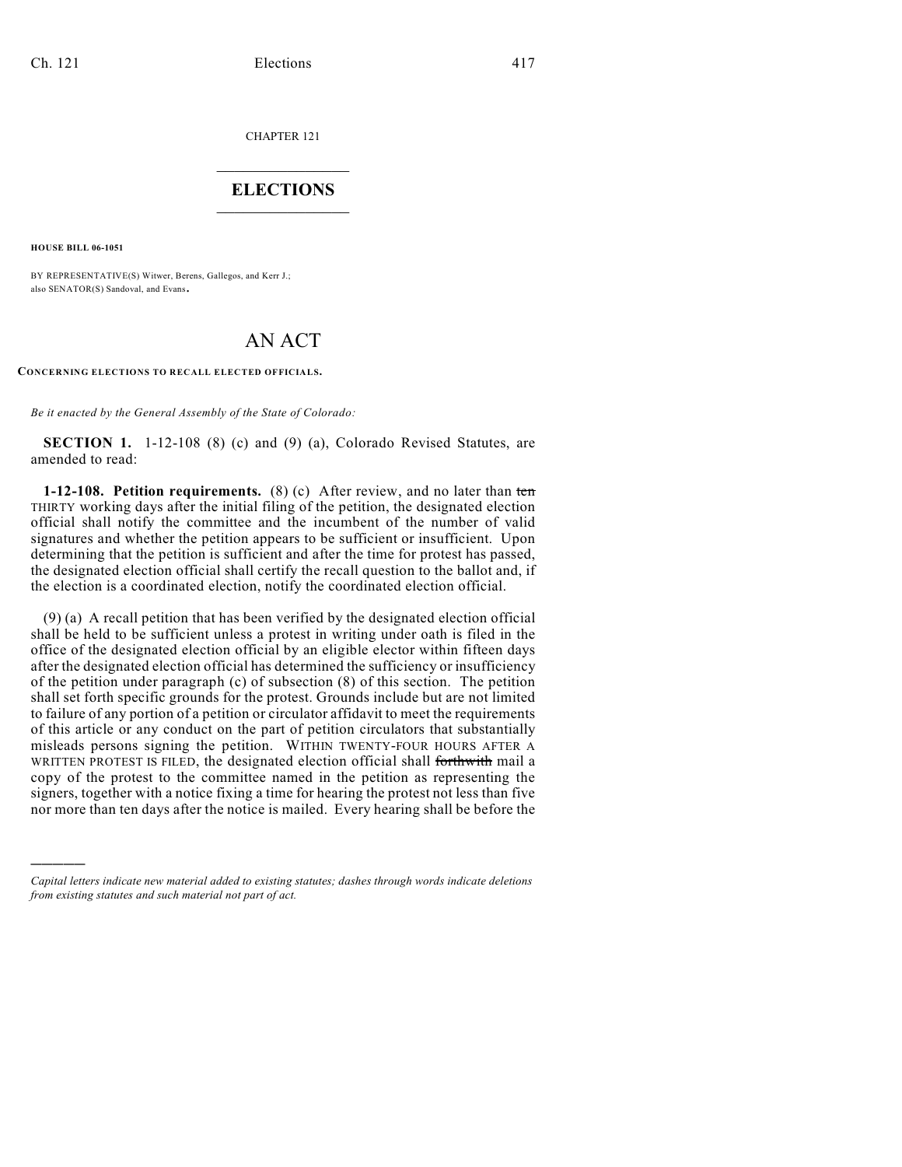CHAPTER 121

## $\mathcal{L}_\text{max}$  . The set of the set of the set of the set of the set of the set of the set of the set of the set of the set of the set of the set of the set of the set of the set of the set of the set of the set of the set **ELECTIONS**  $\_$

**HOUSE BILL 06-1051**

)))))

BY REPRESENTATIVE(S) Witwer, Berens, Gallegos, and Kerr J.; also SENATOR(S) Sandoval, and Evans.

## AN ACT

## **CONCERNING ELECTIONS TO RECALL ELECTED OFFICIALS.**

*Be it enacted by the General Assembly of the State of Colorado:*

**SECTION 1.** 1-12-108 (8) (c) and (9) (a), Colorado Revised Statutes, are amended to read:

**1-12-108. Petition requirements.** (8) (c) After review, and no later than ten THIRTY working days after the initial filing of the petition, the designated election official shall notify the committee and the incumbent of the number of valid signatures and whether the petition appears to be sufficient or insufficient. Upon determining that the petition is sufficient and after the time for protest has passed, the designated election official shall certify the recall question to the ballot and, if the election is a coordinated election, notify the coordinated election official.

(9) (a) A recall petition that has been verified by the designated election official shall be held to be sufficient unless a protest in writing under oath is filed in the office of the designated election official by an eligible elector within fifteen days after the designated election official has determined the sufficiency or insufficiency of the petition under paragraph (c) of subsection (8) of this section. The petition shall set forth specific grounds for the protest. Grounds include but are not limited to failure of any portion of a petition or circulator affidavit to meet the requirements of this article or any conduct on the part of petition circulators that substantially misleads persons signing the petition. WITHIN TWENTY-FOUR HOURS AFTER A WRITTEN PROTEST IS FILED, the designated election official shall forthwith mail a copy of the protest to the committee named in the petition as representing the signers, together with a notice fixing a time for hearing the protest not less than five nor more than ten days after the notice is mailed. Every hearing shall be before the

*Capital letters indicate new material added to existing statutes; dashes through words indicate deletions from existing statutes and such material not part of act.*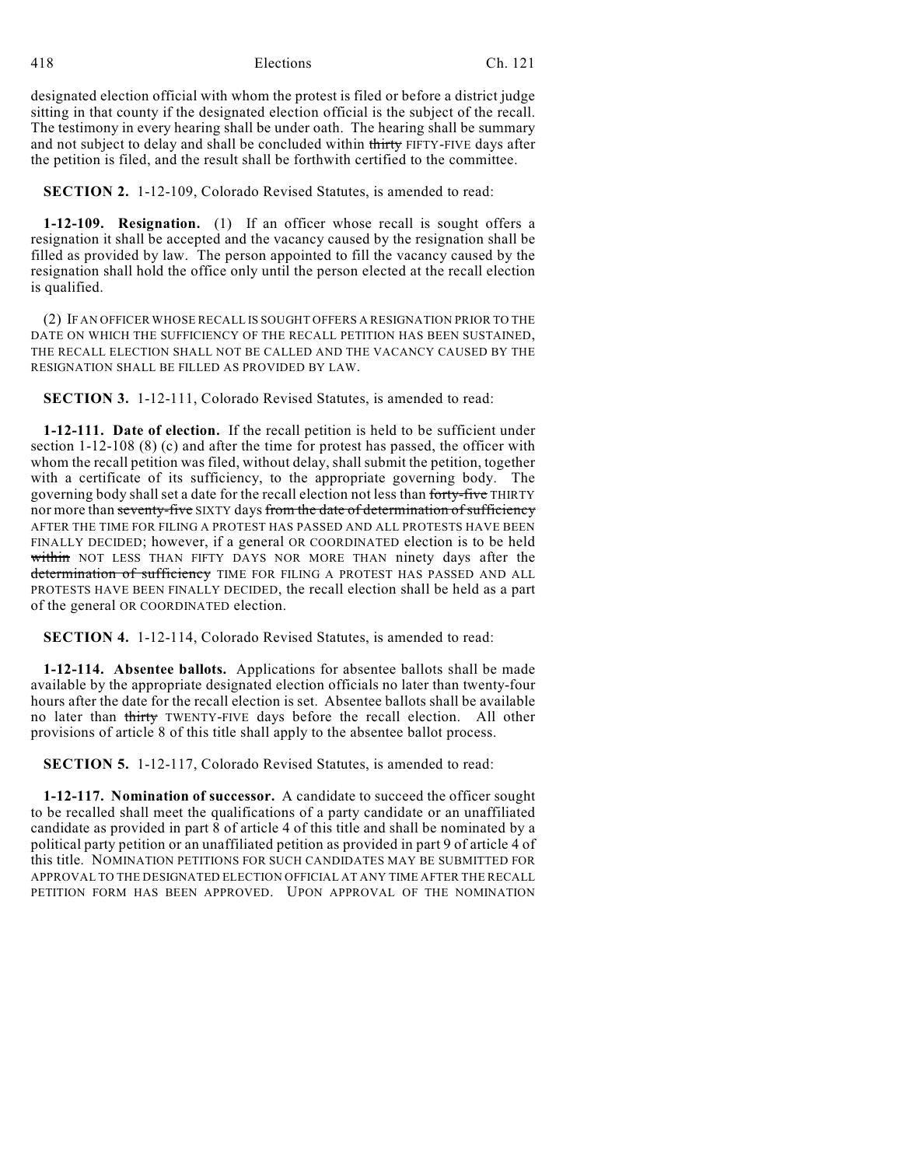418 Elections Ch. 121

designated election official with whom the protest is filed or before a district judge sitting in that county if the designated election official is the subject of the recall. The testimony in every hearing shall be under oath. The hearing shall be summary and not subject to delay and shall be concluded within thirty FIFTY-FIVE days after the petition is filed, and the result shall be forthwith certified to the committee.

**SECTION 2.** 1-12-109, Colorado Revised Statutes, is amended to read:

**1-12-109. Resignation.** (1) If an officer whose recall is sought offers a resignation it shall be accepted and the vacancy caused by the resignation shall be filled as provided by law. The person appointed to fill the vacancy caused by the resignation shall hold the office only until the person elected at the recall election is qualified.

(2) IF AN OFFICER WHOSE RECALL IS SOUGHT OFFERS A RESIGNATION PRIOR TO THE DATE ON WHICH THE SUFFICIENCY OF THE RECALL PETITION HAS BEEN SUSTAINED, THE RECALL ELECTION SHALL NOT BE CALLED AND THE VACANCY CAUSED BY THE RESIGNATION SHALL BE FILLED AS PROVIDED BY LAW.

**SECTION 3.** 1-12-111, Colorado Revised Statutes, is amended to read:

**1-12-111. Date of election.** If the recall petition is held to be sufficient under section 1-12-108 (8) (c) and after the time for protest has passed, the officer with whom the recall petition was filed, without delay, shall submit the petition, together with a certificate of its sufficiency, to the appropriate governing body. The governing body shallset a date for the recall election not less than forty-five THIRTY nor more than seventy-five SIXTY days from the date of determination of sufficiency AFTER THE TIME FOR FILING A PROTEST HAS PASSED AND ALL PROTESTS HAVE BEEN FINALLY DECIDED; however, if a general OR COORDINATED election is to be held within NOT LESS THAN FIFTY DAYS NOR MORE THAN ninety days after the determination of sufficiency TIME FOR FILING A PROTEST HAS PASSED AND ALL PROTESTS HAVE BEEN FINALLY DECIDED, the recall election shall be held as a part of the general OR COORDINATED election.

**SECTION 4.** 1-12-114, Colorado Revised Statutes, is amended to read:

**1-12-114. Absentee ballots.** Applications for absentee ballots shall be made available by the appropriate designated election officials no later than twenty-four hours after the date for the recall election is set. Absentee ballots shall be available no later than thirty TWENTY-FIVE days before the recall election. All other provisions of article 8 of this title shall apply to the absentee ballot process.

**SECTION 5.** 1-12-117, Colorado Revised Statutes, is amended to read:

**1-12-117. Nomination of successor.** A candidate to succeed the officer sought to be recalled shall meet the qualifications of a party candidate or an unaffiliated candidate as provided in part 8 of article 4 of this title and shall be nominated by a political party petition or an unaffiliated petition as provided in part 9 of article 4 of this title. NOMINATION PETITIONS FOR SUCH CANDIDATES MAY BE SUBMITTED FOR APPROVAL TO THE DESIGNATED ELECTION OFFICIAL AT ANY TIME AFTER THE RECALL PETITION FORM HAS BEEN APPROVED. UPON APPROVAL OF THE NOMINATION